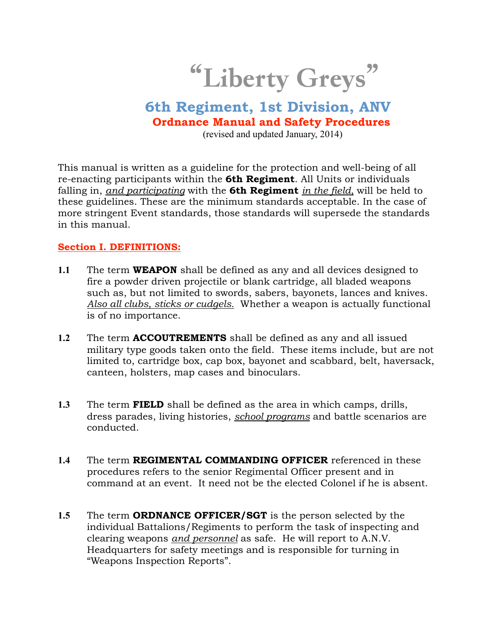# "Liberty Greys"

# **6th Regiment, 1st Division, ANV Ordnance Manual and Safety Procedures**

(revised and updated January, 2014)

This manual is written as a guideline for the protection and well-being of all re-enacting participants within the **6th Regiment**. All Units or individuals falling in, *and participating* with the **6th Regiment** *in the field,* will be held to these guidelines. These are the minimum standards acceptable. In the case of more stringent Event standards, those standards will supersede the standards in this manual.

#### **Section I. DEFINITIONS:**

- **1.1** The term **WEAPON** shall be defined as any and all devices designed to fire a powder driven projectile or blank cartridge, all bladed weapons such as, but not limited to swords, sabers, bayonets, lances and knives. *Also all clubs, sticks or cudgels.* Whether a weapon is actually functional is of no importance.
- **1.2** The term **ACCOUTREMENTS** shall be defined as any and all issued military type goods taken onto the field. These items include, but are not limited to, cartridge box, cap box, bayonet and scabbard, belt, haversack, canteen, holsters, map cases and binoculars.
- **1.3** The term **FIELD** shall be defined as the area in which camps, drills, dress parades, living histories, *school programs* and battle scenarios are conducted.
- **1.4** The term **REGIMENTAL COMMANDING OFFICER** referenced in these procedures refers to the senior Regimental Officer present and in command at an event. It need not be the elected Colonel if he is absent.
- **1.5** The term **ORDNANCE OFFICER/SGT** is the person selected by the individual Battalions/Regiments to perform the task of inspecting and clearing weapons *and personnel* as safe. He will report to A.N.V. Headquarters for safety meetings and is responsible for turning in "Weapons Inspection Reports".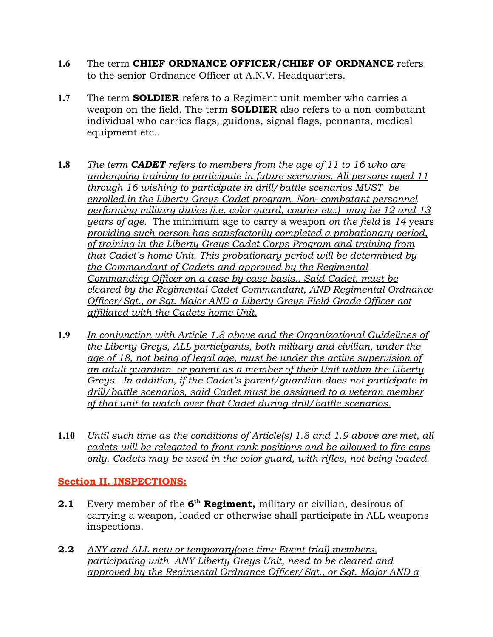- **1.6** The term **CHIEF ORDNANCE OFFICER/CHIEF OF ORDNANCE** refers to the senior Ordnance Officer at A.N.V. Headquarters.
- **1.7** The term **SOLDIER** refers to a Regiment unit member who carries a weapon on the field. The term **SOLDIER** also refers to a non-combatant individual who carries flags, guidons, signal flags, pennants, medical equipment etc..
- **1.8** *The term CADET refers to members from the age of 11 to 16 who are undergoing training to participate in future scenarios. All persons aged 11 through 16 wishing to participate in drill/battle scenarios MUST be enrolled in the Liberty Greys Cadet program. Non- combatant personnel performing military duties (i.e. color guard, courier etc.) may be 12 and 13 years of age.* The minimum age to carry a weapon *on the field* is *14* years *providing such person has satisfactorily completed a probationary period, of training in the Liberty Greys Cadet Corps Program and training from that Cadet's home Unit. This probationary period will be determined by the Commandant of Cadets and approved by the Regimental Commanding Officer on a case by case basis.. Said Cadet, must be cleared by the Regimental Cadet Commandant, AND Regimental Ordnance Officer/Sgt., or Sgt. Major AND a Liberty Greys Field Grade Officer not affiliated with the Cadets home Unit.*
- **1.9** *In conjunction with Article 1.8 above and the Organizational Guidelines of the Liberty Greys, ALL participants, both military and civilian, under the age of 18, not being of legal age, must be under the active supervision of an adult guardian or parent as a member of their Unit within the Liberty Greys. In addition, if the Cadet's parent/guardian does not participate in drill/battle scenarios, said Cadet must be assigned to a veteran member of that unit to watch over that Cadet during drill/battle scenarios.*
- **1.10** *Until such time as the conditions of Article(s) 1.8 and 1.9 above are met, all cadets will be relegated to front rank positions and be allowed to fire caps only. Cadets may be used in the color guard, with rifles, not being loaded.*

# **Section II. INSPECTIONS:**

- **2.1** Every member of the **6<sup>th</sup> Regiment**, military or civilian, desirous of carrying a weapon, loaded or otherwise shall participate in ALL weapons inspections.
- **2.2** *ANY and ALL new or temporary(one time Event trial) members, participating with ANY Liberty Greys Unit, need to be cleared and approved by the Regimental Ordnance Officer/Sgt., or Sgt. Major AND a*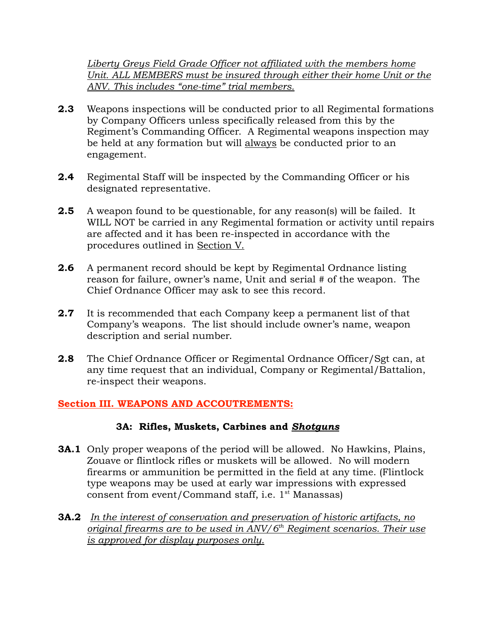*Liberty Greys Field Grade Officer not affiliated with the members home Unit. ALL MEMBERS must be insured through either their home Unit or the ANV. This includes "one-time" trial members.*

- **2.3** Weapons inspections will be conducted prior to all Regimental formations by Company Officers unless specifically released from this by the Regiment's Commanding Officer. A Regimental weapons inspection may be held at any formation but will always be conducted prior to an engagement.
- **2.4** Regimental Staff will be inspected by the Commanding Officer or his designated representative.
- **2.5** A weapon found to be questionable, for any reason(s) will be failed. It WILL NOT be carried in any Regimental formation or activity until repairs are affected and it has been re-inspected in accordance with the procedures outlined in Section V.
- **2.6** A permanent record should be kept by Regimental Ordnance listing reason for failure, owner's name, Unit and serial # of the weapon. The Chief Ordnance Officer may ask to see this record.
- **2.7** It is recommended that each Company keep a permanent list of that Company's weapons. The list should include owner's name, weapon description and serial number.
- **2.8** The Chief Ordnance Officer or Regimental Ordnance Officer/Sgt can, at any time request that an individual, Company or Regimental/Battalion, re-inspect their weapons.

# **Section III. WEAPONS AND ACCOUTREMENTS:**

#### **3A: Rifles, Muskets, Carbines and** *Shotguns*

- **3A.1** Only proper weapons of the period will be allowed. No Hawkins, Plains, Zouave or flintlock rifles or muskets will be allowed. No will modern firearms or ammunition be permitted in the field at any time. (Flintlock type weapons may be used at early war impressions with expressed consent from event/Command staff, i.e.  $1^{st}$  Manassas)
- **3A.2** *In the interest of conservation and preservation of historic artifacts, no original firearms are to be used in ANV/6th Regiment scenarios. Their use is approved for display purposes only.*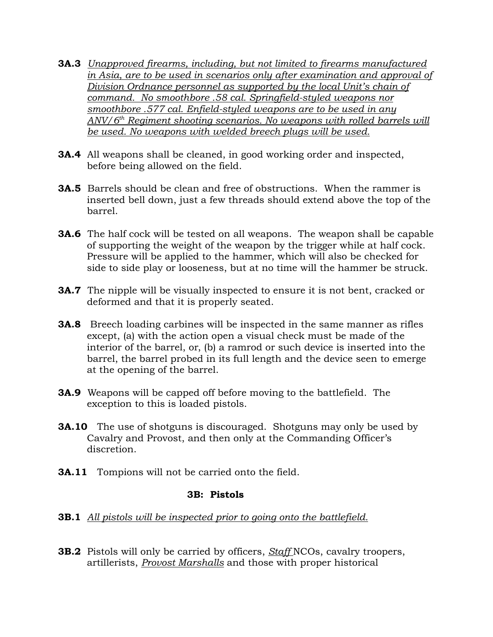- **3A.3** *Unapproved firearms, including, but not limited to firearms manufactured in Asia, are to be used in scenarios only after examination and approval of Division Ordnance personnel as supported by the local Unit's chain of command. No smoothbore .58 cal. Springfield-styled weapons nor smoothbore .577 cal. Enfield-styled weapons are to be used in any ANV/6th Regiment shooting scenarios. No weapons with rolled barrels will be used. No weapons with welded breech plugs will be used.*
- **3A.4** All weapons shall be cleaned, in good working order and inspected, before being allowed on the field.
- **3A.5** Barrels should be clean and free of obstructions. When the rammer is inserted bell down, just a few threads should extend above the top of the barrel.
- **3A.6** The half cock will be tested on all weapons. The weapon shall be capable of supporting the weight of the weapon by the trigger while at half cock. Pressure will be applied to the hammer, which will also be checked for side to side play or looseness, but at no time will the hammer be struck.
- **3A.7** The nipple will be visually inspected to ensure it is not bent, cracked or deformed and that it is properly seated.
- **3A.8** Breech loading carbines will be inspected in the same manner as rifles except, (a) with the action open a visual check must be made of the interior of the barrel, or, (b) a ramrod or such device is inserted into the barrel, the barrel probed in its full length and the device seen to emerge at the opening of the barrel.
- **3A.9** Weapons will be capped off before moving to the battlefield. The exception to this is loaded pistols.
- **3A.10** The use of shotguns is discouraged. Shotguns may only be used by Cavalry and Provost, and then only at the Commanding Officer's discretion.
- **3A.11** Tompions will not be carried onto the field.

#### **3B: Pistols**

- **3B.1** *All pistols will be inspected prior to going onto the battlefield.*
- **3B.2** Pistols will only be carried by officers, *Staff* NCOs, cavalry troopers, artillerists, *Provost Marshalls* and those with proper historical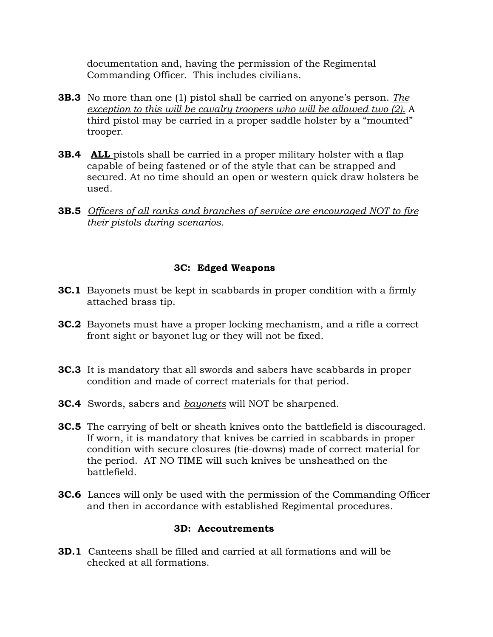documentation and, having the permission of the Regimental Commanding Officer. This includes civilians.

- **3B.3** No more than one (1) pistol shall be carried on anyone's person. *The exception to this will be cavalry troopers who will be allowed two (2).* A third pistol may be carried in a proper saddle holster by a "mounted" trooper.
- **3B.4 ALL** pistols shall be carried in a proper military holster with a flap capable of being fastened or of the style that can be strapped and secured. At no time should an open or western quick draw holsters be used.
- **3B.5** *Officers of all ranks and branches of service are encouraged NOT to fire their pistols during scenarios.*

# **3C: Edged Weapons**

- **3C.1** Bayonets must be kept in scabbards in proper condition with a firmly attached brass tip.
- **3C.2** Bayonets must have a proper locking mechanism, and a rifle a correct front sight or bayonet lug or they will not be fixed.
- **3C.3** It is mandatory that all swords and sabers have scabbards in proper condition and made of correct materials for that period.
- **3C.4** Swords, sabers and *bayonets* will NOT be sharpened.
- **3C.5** The carrying of belt or sheath knives onto the battlefield is discouraged. If worn, it is mandatory that knives be carried in scabbards in proper condition with secure closures (tie-downs) made of correct material for the period. AT NO TIME will such knives be unsheathed on the battlefield.
- **3C.6** Lances will only be used with the permission of the Commanding Officer and then in accordance with established Regimental procedures.

# **3D: Accoutrements**

**3D.1** Canteens shall be filled and carried at all formations and will be checked at all formations.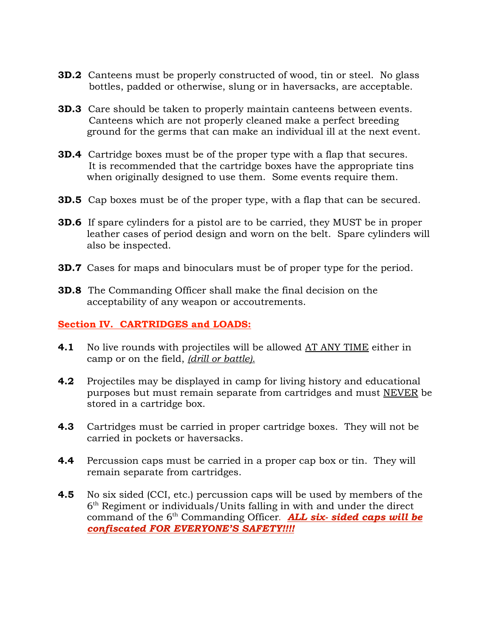- **3D.2** Canteens must be properly constructed of wood, tin or steel. No glass bottles, padded or otherwise, slung or in haversacks, are acceptable.
- **3D.3** Care should be taken to properly maintain canteens between events. Canteens which are not properly cleaned make a perfect breeding ground for the germs that can make an individual ill at the next event.
- **3D.4** Cartridge boxes must be of the proper type with a flap that secures. It is recommended that the cartridge boxes have the appropriate tins when originally designed to use them. Some events require them.
- **3D.5** Cap boxes must be of the proper type, with a flap that can be secured.
- **3D.6** If spare cylinders for a pistol are to be carried, they MUST be in proper leather cases of period design and worn on the belt. Spare cylinders will also be inspected.
- **3D.7** Cases for maps and binoculars must be of proper type for the period.
- **3D.8** The Commanding Officer shall make the final decision on the acceptability of any weapon or accoutrements.

#### **Section IV. CARTRIDGES and LOADS:**

- **4.1** No live rounds with projectiles will be allowed <u>AT ANY TIME</u> either in camp or on the field, *(drill or battle).*
- **4.2** Projectiles may be displayed in camp for living history and educational purposes but must remain separate from cartridges and must NEVER be stored in a cartridge box.
- **4.3** Cartridges must be carried in proper cartridge boxes. They will not be carried in pockets or haversacks.
- **4.4** Percussion caps must be carried in a proper cap box or tin. They will remain separate from cartridges.
- **4.5** No six sided (CCI, etc.) percussion caps will be used by members of the 6th Regiment or individuals/Units falling in with and under the direct command of the 6<sup>th</sup> Commanding Officer. **ALL six- sided caps will be** *confiscated FOR EVERYONE'S SAFETY!!!!*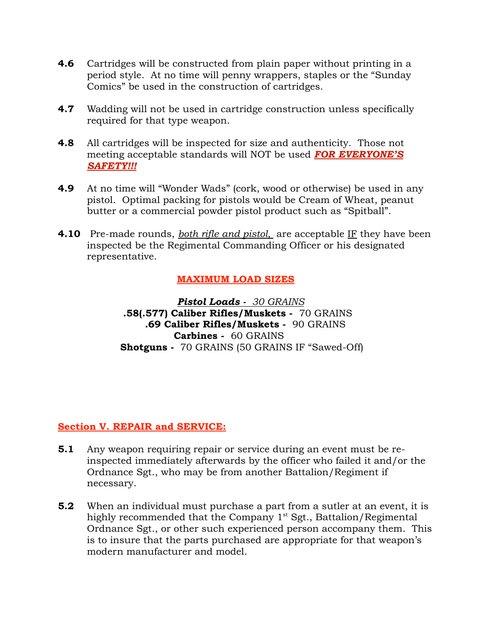- **4.6** Cartridges will be constructed from plain paper without printing in a period style. At no time will penny wrappers, staples or the "Sunday Comics" be used in the construction of cartridges.
- **4.7** Wadding will not be used in cartridge construction unless specifically required for that type weapon.
- **4.8** All cartridges will be inspected for size and authenticity. Those not meeting acceptable standards will NOT be used *FOR EVERYONE'S SAFETY!!!*
- **4.9** At no time will "Wonder Wads" (cork, wood or otherwise) be used in any pistol. Optimal packing for pistols would be Cream of Wheat, peanut butter or a commercial powder pistol product such as "Spitball".
- **4.10** Pre-made rounds, *both rifle and pistol*, are acceptable IF they have been inspected be the Regimental Commanding Officer or his designated representative.

# **MAXIMUM LOAD SIZES**

*Pistol Loads - 30 GRAINS*  **.58(.577) Caliber Rifles/Muskets -** 70 GRAINS **.69 Caliber Rifles/Muskets -** 90 GRAINS **Carbines -** 60 GRAINS  **Shotguns -** 70 GRAINS (50 GRAINS IF "Sawed-Off)

#### **Section V. REPAIR and SERVICE:**

- **5.1** Any weapon requiring repair or service during an event must be reinspected immediately afterwards by the officer who failed it and/or the Ordnance Sgt., who may be from another Battalion/Regiment if necessary.
- **5.2** When an individual must purchase a part from a sutler at an event, it is highly recommended that the Company 1<sup>st</sup> Sgt., Battalion/Regimental Ordnance Sgt., or other such experienced person accompany them. This is to insure that the parts purchased are appropriate for that weapon's modern manufacturer and model.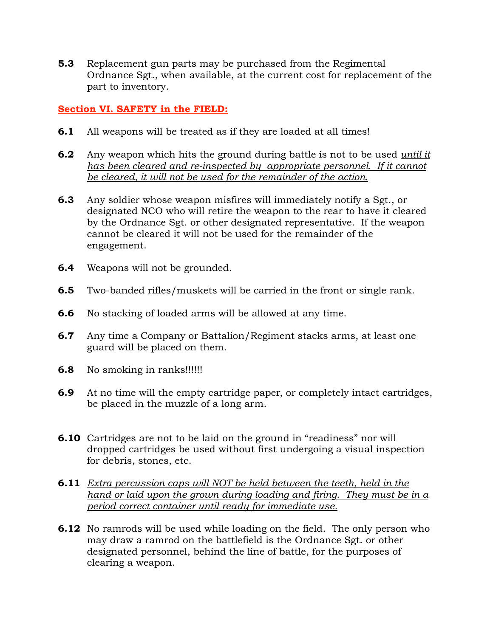**5.3** Replacement gun parts may be purchased from the Regimental Ordnance Sgt., when available, at the current cost for replacement of the part to inventory.

#### **Section VI. SAFETY in the FIELD:**

- **6.1** All weapons will be treated as if they are loaded at all times!
- **6.2** Any weapon which hits the ground during battle is not to be used *until it has been cleared and re-inspected by appropriate personnel. If it cannot be cleared, it will not be used for the remainder of the action.*
- **6.3** Any soldier whose weapon misfires will immediately notify a Sgt., or designated NCO who will retire the weapon to the rear to have it cleared by the Ordnance Sgt. or other designated representative. If the weapon cannot be cleared it will not be used for the remainder of the engagement.
- **6.4** Weapons will not be grounded.
- **6.5** Two-banded rifles/muskets will be carried in the front or single rank.
- **6.6** No stacking of loaded arms will be allowed at any time.
- **6.7** Any time a Company or Battalion/Regiment stacks arms, at least one guard will be placed on them.
- **6.8** No smoking in ranks!!!!!!
- **6.9** At no time will the empty cartridge paper, or completely intact cartridges, be placed in the muzzle of a long arm.
- **6.10** Cartridges are not to be laid on the ground in "readiness" nor will dropped cartridges be used without first undergoing a visual inspection for debris, stones, etc.
- **6.11** *Extra percussion caps will NOT be held between the teeth, held in the hand or laid upon the grown during loading and firing. They must be in a period correct container until ready for immediate use.*
- **6.12** No ramrods will be used while loading on the field. The only person who may draw a ramrod on the battlefield is the Ordnance Sgt. or other designated personnel, behind the line of battle, for the purposes of clearing a weapon.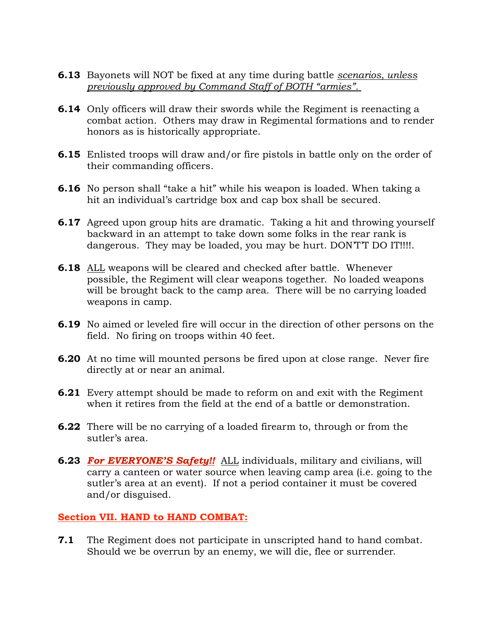- **6.13** Bayonets will NOT be fixed at any time during battle *scenarios, unless previously approved by Command Staff of BOTH "armies".*
- **6.14** Only officers will draw their swords while the Regiment is reenacting a combat action. Others may draw in Regimental formations and to render honors as is historically appropriate.
- **6.15** Enlisted troops will draw and/or fire pistols in battle only on the order of their commanding officers.
- **6.16** No person shall "take a hit" while his weapon is loaded. When taking a hit an individual's cartridge box and cap box shall be secured.
- **6.17** Agreed upon group hits are dramatic. Taking a hit and throwing yourself backward in an attempt to take down some folks in the rear rank is dangerous. They may be loaded, you may be hurt. DON'T'T DO IT!!!!.
- **6.18** ALL weapons will be cleared and checked after battle. Whenever possible, the Regiment will clear weapons together. No loaded weapons will be brought back to the camp area. There will be no carrying loaded weapons in camp.
- **6.19** No aimed or leveled fire will occur in the direction of other persons on the field. No firing on troops within 40 feet.
- **6.20** At no time will mounted persons be fired upon at close range. Never fire directly at or near an animal.
- **6.21** Every attempt should be made to reform on and exit with the Regiment when it retires from the field at the end of a battle or demonstration.
- **6.22** There will be no carrying of a loaded firearm to, through or from the sutler's area.
- **6.23** *For EVERYONE'S Safety!!* ALL individuals, military and civilians, will carry a canteen or water source when leaving camp area (i.e. going to the sutler's area at an event). If not a period container it must be covered and/or disguised.

# **Section VII. HAND to HAND COMBAT:**

**7.1** The Regiment does not participate in unscripted hand to hand combat. Should we be overrun by an enemy, we will die, flee or surrender.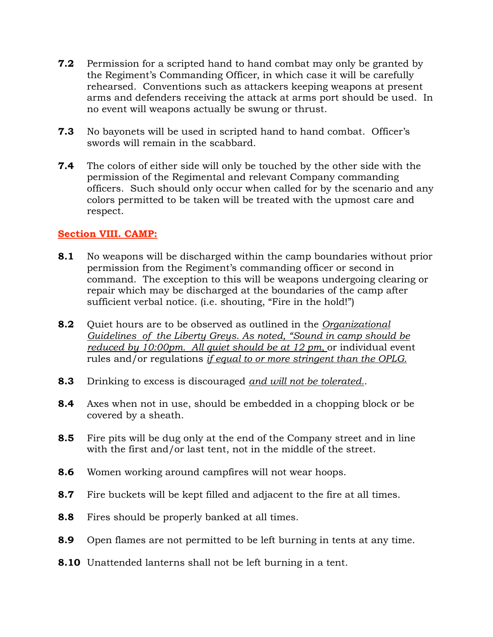- **7.2** Permission for a scripted hand to hand combat may only be granted by the Regiment's Commanding Officer, in which case it will be carefully rehearsed. Conventions such as attackers keeping weapons at present arms and defenders receiving the attack at arms port should be used. In no event will weapons actually be swung or thrust.
- **7.3** No bayonets will be used in scripted hand to hand combat. Officer's swords will remain in the scabbard.
- **7.4** The colors of either side will only be touched by the other side with the permission of the Regimental and relevant Company commanding officers. Such should only occur when called for by the scenario and any colors permitted to be taken will be treated with the upmost care and respect.

#### **Section VIII. CAMP:**

- **8.1** No weapons will be discharged within the camp boundaries without prior permission from the Regiment's commanding officer or second in command. The exception to this will be weapons undergoing clearing or repair which may be discharged at the boundaries of the camp after sufficient verbal notice. (i.e. shouting, "Fire in the hold!")
- **8.2** Quiet hours are to be observed as outlined in the *Organizational Guidelines of the Liberty Greys. As noted, "Sound in camp should be reduced by 10:00pm. All quiet should be at 12 pm,* or individual event rules and/or regulations *if equal to or more stringent than the OPLG.*
- **8.3** Drinking to excess is discouraged *and will not be tolerated.*.
- **8.4** Axes when not in use, should be embedded in a chopping block or be covered by a sheath.
- **8.5** Fire pits will be dug only at the end of the Company street and in line with the first and/or last tent, not in the middle of the street.
- **8.6** Women working around campfires will not wear hoops.
- **8.7** Fire buckets will be kept filled and adjacent to the fire at all times.
- **8.8** Fires should be properly banked at all times.
- **8.9** Open flames are not permitted to be left burning in tents at any time.
- **8.10** Unattended lanterns shall not be left burning in a tent.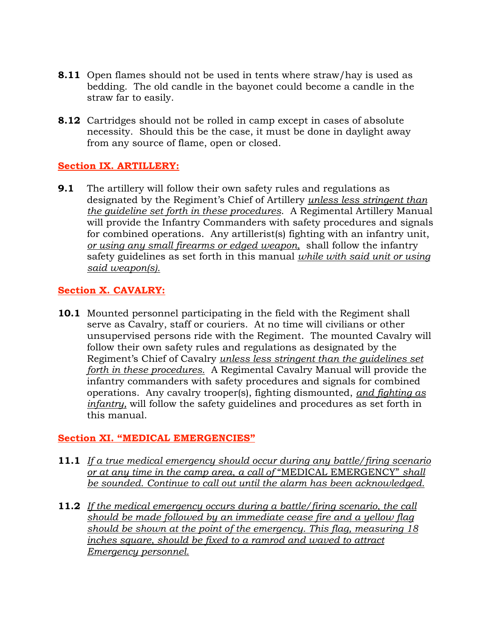- **8.11** Open flames should not be used in tents where straw/hay is used as bedding. The old candle in the bayonet could become a candle in the straw far to easily.
- **8.12** Cartridges should not be rolled in camp except in cases of absolute necessity. Should this be the case, it must be done in daylight away from any source of flame, open or closed.

# **Section IX. ARTILLERY:**

**9.1** The artillery will follow their own safety rules and regulations as designated by the Regiment's Chief of Artillery *unless less stringent than the guideline set forth in these procedures*. A Regimental Artillery Manual will provide the Infantry Commanders with safety procedures and signals for combined operations. Any artillerist(s) fighting with an infantry unit, *or using any small firearms or edged weapon,* shall follow the infantry safety guidelines as set forth in this manual *while with said unit or using said weapon(s).*

# **Section X. CAVALRY:**

**10.1** Mounted personnel participating in the field with the Regiment shall serve as Cavalry, staff or couriers. At no time will civilians or other unsupervised persons ride with the Regiment. The mounted Cavalry will follow their own safety rules and regulations as designated by the Regiment's Chief of Cavalry *unless less stringent than the guidelines set forth in these procedures.* A Regimental Cavalry Manual will provide the infantry commanders with safety procedures and signals for combined operations. Any cavalry trooper(s), fighting dismounted, *and fighting as infantry,* will follow the safety guidelines and procedures as set forth in this manual.

# **Section XI. "MEDICAL EMERGENCIES"**

- **11.1** *If a true medical emergency should occur during any battle/firing scenario or at any time in the camp area, a call of* "MEDICAL EMERGENCY" *shall be sounded. Continue to call out until the alarm has been acknowledged.*
- **11.2** *If the medical emergency occurs during a battle/firing scenario, the call should be made followed by an immediate cease fire and a yellow flag should be shown at the point of the emergency. This flag, measuring 18 inches square, should be fixed to a ramrod and waved to attract Emergency personnel.*